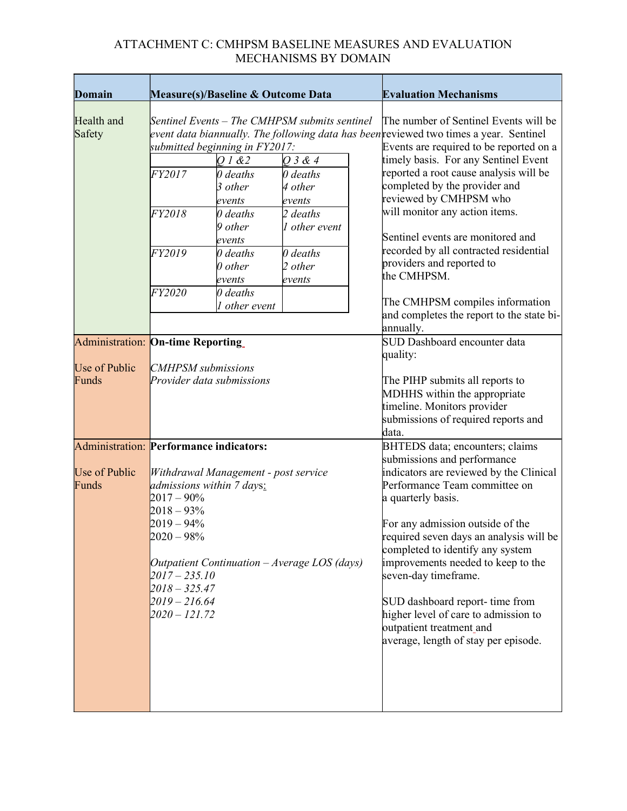## ATTACHMENT C: CMHPSM BASELINE MEASURES AND EVALUATION MECHANISMS BY DOMAIN

| <b>Domain</b>                                  |                                                                                                                                             | <b>Measure(s)/Baseline &amp; Outcome Data</b>                                                                                                                                                                                               |                                                                                                                | <b>Evaluation Mechanisms</b> |                                                                                                                                                                                                                                                                                                                                                                                                                                                                                                                                                                      |
|------------------------------------------------|---------------------------------------------------------------------------------------------------------------------------------------------|---------------------------------------------------------------------------------------------------------------------------------------------------------------------------------------------------------------------------------------------|----------------------------------------------------------------------------------------------------------------|------------------------------|----------------------------------------------------------------------------------------------------------------------------------------------------------------------------------------------------------------------------------------------------------------------------------------------------------------------------------------------------------------------------------------------------------------------------------------------------------------------------------------------------------------------------------------------------------------------|
| Health and<br>Safety                           | FY2017<br>FY2018<br>FY2019<br>FY2020                                                                                                        | Sentinel Events - The CMHPSM submits sentinel<br>submitted beginning in FY2017:<br>01&2<br>$0$ deaths<br>3 other<br>events<br>$\theta$ deaths<br>9 other<br>events<br>$0$ deaths<br>$\theta$ other<br>events<br>$0$ deaths<br>1 other event | $Q$ 3 & 4<br>$0$ deaths<br>4 other<br>events<br>$2$ deaths<br>1 other event<br>$0$ deaths<br>2 other<br>events |                              | The number of Sentinel Events will be<br>event data biannually. The following data has been reviewed two times a year. Sentinel<br>Events are required to be reported on a<br>timely basis. For any Sentinel Event<br>reported a root cause analysis will be<br>completed by the provider and<br>reviewed by CMHPSM who<br>will monitor any action items.<br>Sentinel events are monitored and<br>recorded by all contracted residential<br>providers and reported to<br>the CMHPSM.<br>The CMHPSM compiles information<br>and completes the report to the state bi- |
|                                                |                                                                                                                                             |                                                                                                                                                                                                                                             |                                                                                                                |                              | annually.<br>SUD Dashboard encounter data                                                                                                                                                                                                                                                                                                                                                                                                                                                                                                                            |
| <b>Administration: On-time Reporting</b>       |                                                                                                                                             |                                                                                                                                                                                                                                             |                                                                                                                |                              | quality:                                                                                                                                                                                                                                                                                                                                                                                                                                                                                                                                                             |
| Use of Public<br>Funds                         |                                                                                                                                             | <b>CMHPSM</b> submissions<br>Provider data submissions                                                                                                                                                                                      |                                                                                                                |                              | The PIHP submits all reports to<br>MDHHS within the appropriate<br>timeline. Monitors provider<br>submissions of required reports and<br>data.                                                                                                                                                                                                                                                                                                                                                                                                                       |
| <b>Administration: Performance indicators:</b> |                                                                                                                                             |                                                                                                                                                                                                                                             |                                                                                                                |                              | BHTEDS data; encounters; claims                                                                                                                                                                                                                                                                                                                                                                                                                                                                                                                                      |
| Use of Public<br>Funds                         | $2017 - 90\%$<br>$2018 - 93%$<br>$2019 - 94\%$<br>$2020 - 98\%$<br>$2017 - 235.10$<br>$2018 - 325.47$<br>$2019 - 216.64$<br>$2020 - 121.72$ | Withdrawal Management - post service<br>admissions within 7 days:<br>Outpatient Continuation $-Average LOS (days)$                                                                                                                          |                                                                                                                |                              | submissions and performance<br>indicators are reviewed by the Clinical<br>Performance Team committee on<br>a quarterly basis.<br>For any admission outside of the<br>required seven days an analysis will be<br>completed to identify any system<br>improvements needed to keep to the<br>seven-day timeframe.<br>SUD dashboard report- time from<br>higher level of care to admission to<br>outpatient treatment_and<br>average, length of stay per episode.                                                                                                        |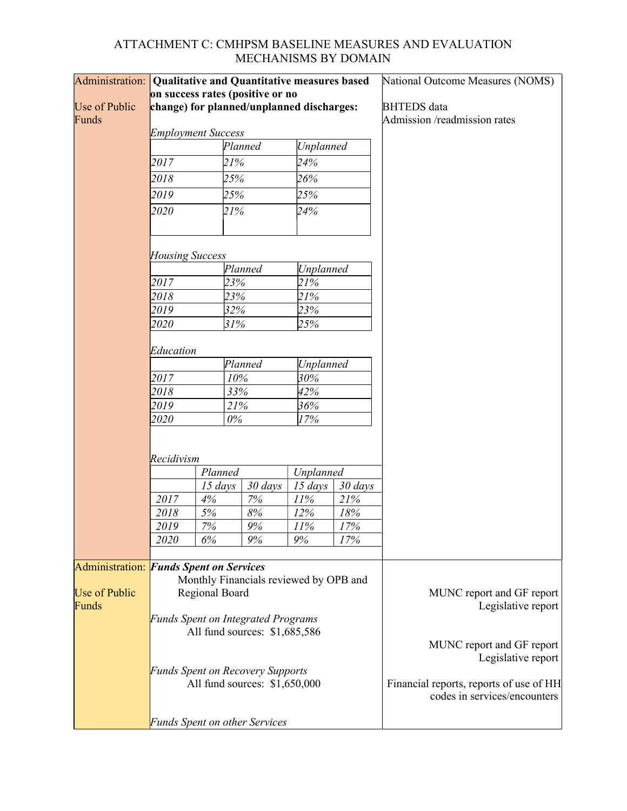## ATTACHMENT C: CMHPSM BASELINE MEASURES AND EVALUATION MECHANISMS BY DOMAIN

| Administration: Qualitative and Quantitative measures based |                                                                            |         |                                           |                  | National Outcome Measures (NOMS) |                                                                         |  |  |  |
|-------------------------------------------------------------|----------------------------------------------------------------------------|---------|-------------------------------------------|------------------|----------------------------------|-------------------------------------------------------------------------|--|--|--|
|                                                             |                                                                            |         | on success rates (positive or no          |                  |                                  |                                                                         |  |  |  |
| Use of Public                                               |                                                                            |         | change) for planned/unplanned discharges: |                  | <b>BHTEDS</b> data               |                                                                         |  |  |  |
| Funds                                                       |                                                                            |         |                                           |                  |                                  | Admission /readmission rates                                            |  |  |  |
|                                                             | <b>Employment Success</b>                                                  |         |                                           |                  |                                  |                                                                         |  |  |  |
|                                                             |                                                                            |         | Planned                                   | <b>Unplanned</b> |                                  |                                                                         |  |  |  |
|                                                             | 2017                                                                       |         | 21%                                       | 24%              |                                  |                                                                         |  |  |  |
|                                                             | 2018                                                                       |         | 25%                                       | 26%              |                                  |                                                                         |  |  |  |
|                                                             | 2019                                                                       |         | 25%                                       | 25%              |                                  |                                                                         |  |  |  |
|                                                             | 2020                                                                       |         | 21%                                       | 24%              |                                  |                                                                         |  |  |  |
|                                                             |                                                                            |         |                                           |                  |                                  |                                                                         |  |  |  |
|                                                             | <b>Housing Success</b>                                                     |         |                                           |                  |                                  |                                                                         |  |  |  |
|                                                             |                                                                            |         | Planned                                   | <b>Unplanned</b> |                                  |                                                                         |  |  |  |
|                                                             | 2017                                                                       |         | 23%                                       | 21%              |                                  |                                                                         |  |  |  |
|                                                             | 2018                                                                       |         | 23%                                       | 21%              |                                  |                                                                         |  |  |  |
|                                                             | 2019                                                                       |         | 32%                                       | 23%              |                                  |                                                                         |  |  |  |
|                                                             | 2020                                                                       |         | 31%                                       | 25%              |                                  |                                                                         |  |  |  |
|                                                             | Education                                                                  |         |                                           |                  |                                  |                                                                         |  |  |  |
|                                                             |                                                                            |         | Planned                                   | <b>Unplanned</b> |                                  |                                                                         |  |  |  |
|                                                             | 2017                                                                       |         | 10%                                       | 30%              |                                  |                                                                         |  |  |  |
|                                                             | 2018                                                                       |         | 33%                                       | 42%              |                                  |                                                                         |  |  |  |
|                                                             | 2019                                                                       |         | 21%                                       | 36%              |                                  |                                                                         |  |  |  |
|                                                             | 2020                                                                       |         | $0\%$                                     | 17%              |                                  |                                                                         |  |  |  |
|                                                             |                                                                            |         |                                           |                  |                                  |                                                                         |  |  |  |
|                                                             | Recidivism                                                                 |         |                                           |                  |                                  |                                                                         |  |  |  |
|                                                             | Planned                                                                    |         |                                           | Unplanned        |                                  |                                                                         |  |  |  |
|                                                             |                                                                            | 15 days | 30 days                                   | $15 \; days$     | 30 days                          |                                                                         |  |  |  |
|                                                             | 2017                                                                       | 4%      | $7\%$                                     | 11%              | 21%                              |                                                                         |  |  |  |
|                                                             | 2018                                                                       | 5%      | $8\%$                                     | 12%              | 18%                              |                                                                         |  |  |  |
|                                                             | 2019                                                                       | 7%      | 9%                                        | 11%              | 17%                              |                                                                         |  |  |  |
|                                                             | 2020                                                                       | 6%      | 9%                                        | 9%               | 17%                              |                                                                         |  |  |  |
| <b>Administration: Funds Spent on Services</b>              |                                                                            |         |                                           |                  |                                  |                                                                         |  |  |  |
|                                                             |                                                                            |         | Monthly Financials reviewed by OPB and    |                  |                                  |                                                                         |  |  |  |
| Use of Public                                               | Regional Board                                                             |         |                                           |                  |                                  | MUNC report and GF report                                               |  |  |  |
| Funds                                                       |                                                                            |         |                                           |                  |                                  | Legislative report                                                      |  |  |  |
|                                                             | <b>Funds Spent on Integrated Programs</b><br>All fund sources: \$1,685,586 |         |                                           |                  |                                  |                                                                         |  |  |  |
|                                                             |                                                                            |         |                                           |                  |                                  | MUNC report and GF report                                               |  |  |  |
|                                                             |                                                                            |         |                                           |                  |                                  | Legislative report                                                      |  |  |  |
|                                                             | <b>Funds Spent on Recovery Supports</b><br>All fund sources: \$1,650,000   |         |                                           |                  |                                  |                                                                         |  |  |  |
|                                                             |                                                                            |         |                                           |                  |                                  | Financial reports, reports of use of HH<br>codes in services/encounters |  |  |  |
|                                                             |                                                                            |         | <b>Funds Spent on other Services</b>      |                  |                                  |                                                                         |  |  |  |